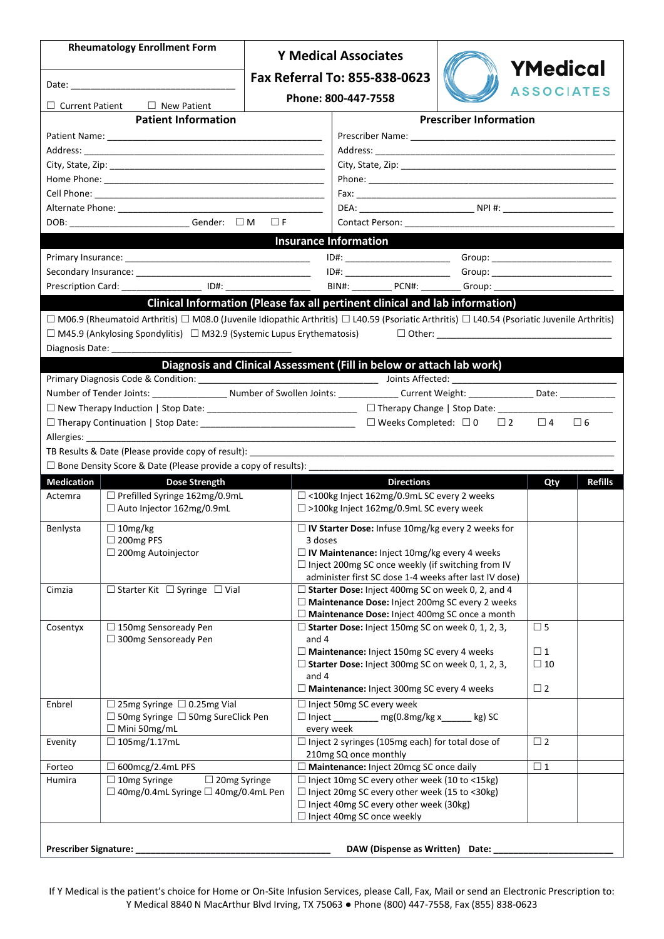| <b>Rheumatology Enrollment Form</b>          |                                                                                                                                                                   |                               | <b>Y Medical Associates</b>                                                                                   |                               |                         |                |
|----------------------------------------------|-------------------------------------------------------------------------------------------------------------------------------------------------------------------|-------------------------------|---------------------------------------------------------------------------------------------------------------|-------------------------------|-------------------------|----------------|
| $\Box$ New Patient<br>$\Box$ Current Patient |                                                                                                                                                                   | Fax Referral To: 855-838-0623 |                                                                                                               | YMedical<br><b>ASSOCIATES</b> |                         |                |
|                                              |                                                                                                                                                                   |                               | Phone: 800-447-7558                                                                                           |                               |                         |                |
|                                              | <b>Patient Information</b>                                                                                                                                        |                               |                                                                                                               | <b>Prescriber Information</b> |                         |                |
|                                              |                                                                                                                                                                   |                               |                                                                                                               |                               |                         |                |
|                                              |                                                                                                                                                                   |                               |                                                                                                               |                               |                         |                |
|                                              |                                                                                                                                                                   |                               |                                                                                                               |                               |                         |                |
|                                              |                                                                                                                                                                   |                               |                                                                                                               |                               |                         |                |
|                                              |                                                                                                                                                                   |                               |                                                                                                               |                               |                         |                |
|                                              |                                                                                                                                                                   |                               |                                                                                                               |                               |                         |                |
|                                              | DOB: _______________________________Gender: □M □F                                                                                                                 |                               |                                                                                                               |                               |                         |                |
|                                              |                                                                                                                                                                   |                               | <b>Insurance Information</b>                                                                                  |                               |                         |                |
|                                              |                                                                                                                                                                   |                               |                                                                                                               |                               |                         |                |
|                                              |                                                                                                                                                                   |                               |                                                                                                               |                               |                         |                |
|                                              | Prescription Card: ID#:                                                                                                                                           |                               | BIN#: PCN#: Group: Group:                                                                                     |                               |                         |                |
|                                              |                                                                                                                                                                   |                               | Clinical Information (Please fax all pertinent clinical and lab information)                                  |                               |                         |                |
|                                              | $\Box$ M06.9 (Rheumatoid Arthritis) $\Box$ M08.0 (Juvenile Idiopathic Arthritis) $\Box$ L40.59 (Psoriatic Arthritis) $\Box$ L40.54 (Psoriatic Juvenile Arthritis) |                               |                                                                                                               |                               |                         |                |
|                                              | $\Box$ M45.9 (Ankylosing Spondylitis) $\Box$ M32.9 (Systemic Lupus Erythematosis)                                                                                 |                               |                                                                                                               |                               |                         |                |
|                                              | Diagnosis Date:                                                                                                                                                   |                               |                                                                                                               |                               |                         |                |
|                                              |                                                                                                                                                                   |                               | Diagnosis and Clinical Assessment (Fill in below or attach lab work)                                          |                               |                         |                |
|                                              |                                                                                                                                                                   |                               |                                                                                                               |                               |                         |                |
|                                              | Number of Tender Joints: _______________________Number of Swollen Joints: ______________Current Weight: ________________Date: ________________                    |                               |                                                                                                               |                               |                         |                |
|                                              |                                                                                                                                                                   |                               |                                                                                                               |                               |                         |                |
|                                              |                                                                                                                                                                   |                               |                                                                                                               |                               | $\square$ 4 $\square$ 6 |                |
|                                              |                                                                                                                                                                   |                               |                                                                                                               |                               |                         |                |
|                                              |                                                                                                                                                                   |                               |                                                                                                               |                               |                         |                |
|                                              | □ Bone Density Score & Date (Please provide a copy of results): ____                                                                                              |                               |                                                                                                               |                               |                         |                |
| <b>Medication</b><br>Actemra                 | Dose Strength<br>□ Prefilled Syringe 162mg/0.9mL                                                                                                                  |                               | <b>Directions</b><br>□ <100kg Inject 162mg/0.9mL SC every 2 weeks                                             |                               | Qty                     | <b>Refills</b> |
|                                              | □ Auto Injector 162mg/0.9mL                                                                                                                                       |                               | □ >100kg Inject 162mg/0.9mL SC every week                                                                     |                               |                         |                |
| Benlysta                                     | $\Box$ 10mg/kg                                                                                                                                                    |                               | □ IV Starter Dose: Infuse 10mg/kg every 2 weeks for                                                           |                               |                         |                |
|                                              | $\Box$ 200mg PFS                                                                                                                                                  | 3 doses                       |                                                                                                               |                               |                         |                |
|                                              | $\Box$ 200mg Autoinjector                                                                                                                                         |                               |                                                                                                               |                               |                         |                |
|                                              |                                                                                                                                                                   |                               | □ IV Maintenance: Inject 10mg/kg every 4 weeks                                                                |                               |                         |                |
|                                              |                                                                                                                                                                   |                               | □ Inject 200mg SC once weekly (if switching from IV<br>administer first SC dose 1-4 weeks after last IV dose) |                               |                         |                |
| Cimzia                                       | $\Box$ Starter Kit $\Box$ Syringe $\Box$ Vial                                                                                                                     |                               | □ Starter Dose: Inject 400mg SC on week 0, 2, and 4                                                           |                               |                         |                |
|                                              |                                                                                                                                                                   |                               | $\Box$ Maintenance Dose: Inject 200mg SC every 2 weeks                                                        |                               |                         |                |
|                                              |                                                                                                                                                                   |                               | □ Maintenance Dose: Inject 400mg SC once a month                                                              |                               |                         |                |
| Cosentyx                                     | $\Box$ 150mg Sensoready Pen                                                                                                                                       |                               | $\Box$ Starter Dose: Inject 150mg SC on week 0, 1, 2, 3,                                                      |                               | $\square$ 5             |                |
|                                              | $\Box$ 300mg Sensoready Pen                                                                                                                                       | and 4                         |                                                                                                               |                               | $\square$ 1             |                |
|                                              |                                                                                                                                                                   |                               | Maintenance: Inject 150mg SC every 4 weeks<br>$\Box$ Starter Dose: Inject 300mg SC on week 0, 1, 2, 3,        |                               | $\square$ 10            |                |
|                                              |                                                                                                                                                                   | and 4                         |                                                                                                               |                               |                         |                |
|                                              |                                                                                                                                                                   |                               | $\Box$ Maintenance: Inject 300mg SC every 4 weeks                                                             |                               | $\Box$ 2                |                |
| Enbrel                                       | $\Box$ 25mg Syringe $\Box$ 0.25mg Vial                                                                                                                            |                               | $\Box$ Inject 50mg SC every week                                                                              |                               |                         |                |
|                                              | □ 50mg Syringe □ 50mg SureClick Pen                                                                                                                               |                               | □ Inject _________ mg(0.8mg/kg x______ kg) SC                                                                 |                               |                         |                |
| Evenity                                      | $\Box$ Mini 50mg/mL                                                                                                                                               |                               | every week                                                                                                    |                               | $\square$ 2             |                |
|                                              | $\Box$ 105mg/1.17mL                                                                                                                                               |                               | $\Box$ Inject 2 syringes (105mg each) for total dose of<br>210mg SQ once monthly                              |                               |                         |                |
| Forteo                                       | □ 600mcg/2.4mL PFS                                                                                                                                                |                               | Maintenance: Inject 20mcg SC once daily                                                                       |                               | $\square$ 1             |                |
| Humira                                       | $\Box$ 10mg Syringe<br>$\Box$ 20mg Syringe                                                                                                                        |                               | □ Inject 10mg SC every other week (10 to <15kg)                                                               |                               |                         |                |
|                                              | $\Box$ 40mg/0.4mL Syringe $\Box$ 40mg/0.4mL Pen                                                                                                                   |                               | □ Inject 20mg SC every other week (15 to <30kg)                                                               |                               |                         |                |
|                                              |                                                                                                                                                                   |                               | $\Box$ Inject 40mg SC every other week (30kg)                                                                 |                               |                         |                |
|                                              |                                                                                                                                                                   |                               | □ Inject 40mg SC once weekly                                                                                  |                               |                         |                |
| <b>Prescriber Signature:</b>                 |                                                                                                                                                                   |                               | DAW (Dispense as Written) Date:                                                                               |                               |                         |                |

If Y Medical is the patient's choice for Home or On-Site Infusion Services, please Call, Fax, Mail or send an Electronic Prescription to: Y Medical 8840 N MacArthur Blvd Irving, TX 75063 ● Phone (800) 447-7558, Fax (855) 838-0623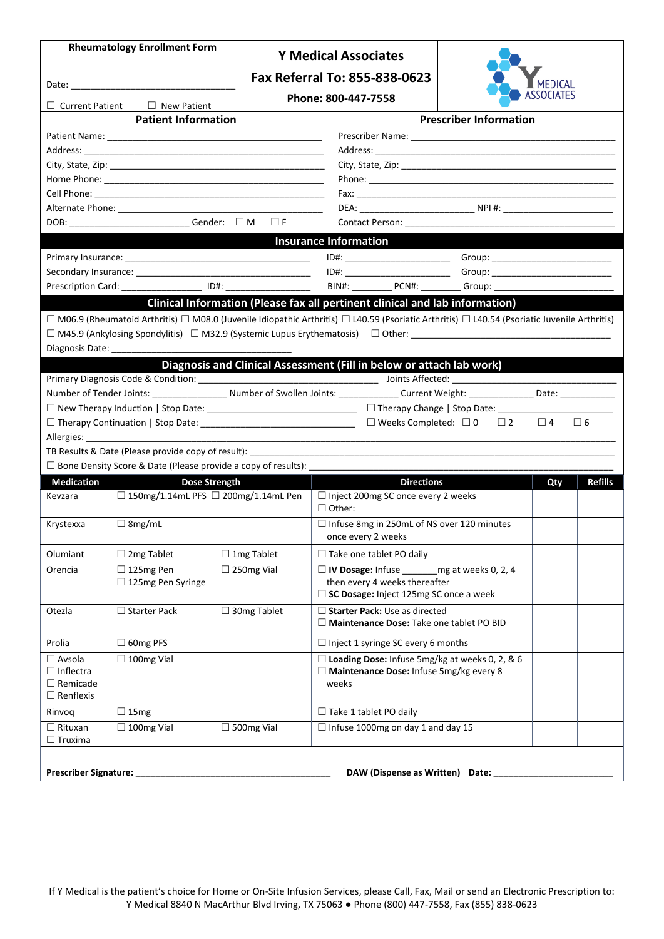|                                                                          | <b>Rheumatology Enrollment Form</b>                                                                                                           |                   | <b>Y Medical Associates</b>                                                                                                                                                                                                    |                               |          |                |
|--------------------------------------------------------------------------|-----------------------------------------------------------------------------------------------------------------------------------------------|-------------------|--------------------------------------------------------------------------------------------------------------------------------------------------------------------------------------------------------------------------------|-------------------------------|----------|----------------|
|                                                                          |                                                                                                                                               |                   | Fax Referral To: 855-838-0623                                                                                                                                                                                                  |                               |          |                |
| $\Box$ Current Patient $\Box$ New Patient                                |                                                                                                                                               |                   | Phone: 800-447-7558                                                                                                                                                                                                            |                               |          |                |
|                                                                          | <b>Patient Information</b>                                                                                                                    |                   |                                                                                                                                                                                                                                | <b>Prescriber Information</b> |          |                |
|                                                                          |                                                                                                                                               |                   |                                                                                                                                                                                                                                |                               |          |                |
|                                                                          |                                                                                                                                               |                   |                                                                                                                                                                                                                                |                               |          |                |
|                                                                          |                                                                                                                                               |                   |                                                                                                                                                                                                                                |                               |          |                |
|                                                                          |                                                                                                                                               |                   |                                                                                                                                                                                                                                |                               |          |                |
|                                                                          |                                                                                                                                               |                   |                                                                                                                                                                                                                                |                               |          |                |
|                                                                          |                                                                                                                                               |                   |                                                                                                                                                                                                                                |                               |          |                |
|                                                                          | DOB: ___________________________Gender: □ M □ F                                                                                               |                   |                                                                                                                                                                                                                                |                               |          |                |
|                                                                          |                                                                                                                                               |                   | <b>Insurance Information</b>                                                                                                                                                                                                   |                               |          |                |
|                                                                          |                                                                                                                                               |                   |                                                                                                                                                                                                                                |                               |          |                |
|                                                                          |                                                                                                                                               |                   |                                                                                                                                                                                                                                |                               |          |                |
|                                                                          | Prescription Card: ___________________ ID#: __________________                                                                                |                   | BIN#: PCN#: Group: Campionery Contract Contract Contract Contract Contract Contract Contract Contract Contract Contract Contract Contract Contract Contract Contract Contract Contract Contract Contract Contract Contract Con |                               |          |                |
| Diagnosis Date:                                                          | □ M06.9 (Rheumatoid Arthritis) □ M08.0 (Juvenile Idiopathic Arthritis) □ L40.59 (Psoriatic Arthritis) □ L40.54 (Psoriatic Juvenile Arthritis) |                   | Clinical Information (Please fax all pertinent clinical and lab information)                                                                                                                                                   |                               |          |                |
|                                                                          |                                                                                                                                               |                   | Diagnosis and Clinical Assessment (Fill in below or attach lab work)                                                                                                                                                           |                               |          |                |
|                                                                          |                                                                                                                                               |                   |                                                                                                                                                                                                                                |                               |          |                |
|                                                                          | Number of Tender Joints: ____________________ Number of Swollen Joints: _______________ Current Weight: ________________ Date: ______________ |                   |                                                                                                                                                                                                                                |                               |          |                |
|                                                                          |                                                                                                                                               |                   |                                                                                                                                                                                                                                |                               |          | $\Box$ 6       |
|                                                                          |                                                                                                                                               |                   |                                                                                                                                                                                                                                |                               | $\Box$ 4 |                |
|                                                                          |                                                                                                                                               |                   |                                                                                                                                                                                                                                |                               |          |                |
|                                                                          | $\Box$ Bone Density Score & Date (Please provide a copy of results):                                                                          |                   |                                                                                                                                                                                                                                |                               |          |                |
| <b>Medication</b>                                                        | Dose Strength                                                                                                                                 |                   | <b>Directions</b>                                                                                                                                                                                                              |                               | Qty      | <b>Refills</b> |
| Kevzara                                                                  | □ 150mg/1.14mL PFS □ 200mg/1.14mL Pen                                                                                                         |                   | □ Inject 200mg SC once every 2 weeks<br>$\Box$ Other:                                                                                                                                                                          |                               |          |                |
| Krystexxa                                                                | $\Box$ 8mg/mL                                                                                                                                 |                   | □ Infuse 8mg in 250mL of NS over 120 minutes<br>once every 2 weeks                                                                                                                                                             |                               |          |                |
| Olumiant                                                                 | $\Box$ 2mg Tablet                                                                                                                             | $\Box$ 1mg Tablet | $\Box$ Take one tablet PO daily                                                                                                                                                                                                |                               |          |                |
| Orencia                                                                  | $\Box$ 125mg Pen<br>□ 125mg Pen Syringe                                                                                                       | $\Box$ 250mg Vial | $\Box$ IV Dosage: Infuse<br>then every 4 weeks thereafter<br>$\Box$ SC Dosage: Inject 125mg SC once a week                                                                                                                     | mg at weeks 0, 2, 4           |          |                |
| Otezla                                                                   | $\Box$ Starter Pack                                                                                                                           | □ 30mg Tablet     | Starter Pack: Use as directed<br>$\Box$ Maintenance Dose: Take one tablet PO BID                                                                                                                                               |                               |          |                |
| Prolia                                                                   | $\Box$ 60mg PFS                                                                                                                               |                   | $\Box$ Inject 1 syringe SC every 6 months                                                                                                                                                                                      |                               |          |                |
| $\Box$ Avsola<br>$\Box$ Inflectra<br>$\Box$ Remicade<br>$\Box$ Renflexis | $\Box$ 100mg Vial                                                                                                                             |                   | $\Box$ Loading Dose: Infuse 5mg/kg at weeks 0, 2, & 6<br>$\square$ Maintenance Dose: Infuse 5mg/kg every 8<br>weeks                                                                                                            |                               |          |                |
| Rinvoq                                                                   | $\Box$ 15mg                                                                                                                                   |                   | $\Box$ Take 1 tablet PO daily                                                                                                                                                                                                  |                               |          |                |
| $\Box$ Rituxan<br>$\Box$ Truxima                                         | $\Box$ 100mg Vial                                                                                                                             | $\Box$ 500mg Vial | $\Box$ Infuse 1000mg on day 1 and day 15                                                                                                                                                                                       |                               |          |                |
| <b>Prescriber Signature:</b>                                             |                                                                                                                                               |                   | DAW (Dispense as Written) Date:                                                                                                                                                                                                |                               |          |                |